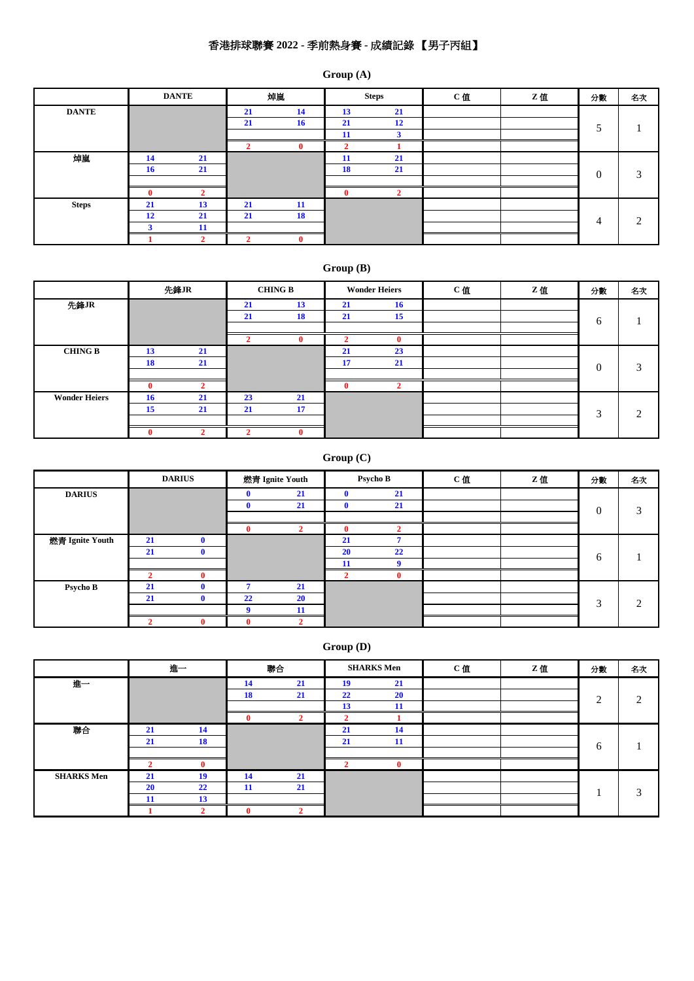# 香港排球聯賽 **2022 -** 季前熱身賽 **-** 成績記錄 【男子丙組】

### **Group (A)**

|              |    | <b>DANTE</b> |    | 焯嵐 |              | <b>Steps</b> | C值 | Z值 | 分數       | 名次                            |
|--------------|----|--------------|----|----|--------------|--------------|----|----|----------|-------------------------------|
| <b>DANTE</b> |    |              | 21 | 14 | 13           | 21           |    |    |          |                               |
|              |    |              | 21 | 16 | 21           | 12           |    |    |          |                               |
|              |    |              |    |    | 11           |              |    |    |          |                               |
|              |    |              |    |    |              |              |    |    |          |                               |
| 焯嵐           | 14 | 21           |    |    | -11          | 21           |    |    |          |                               |
|              | 16 | 21           |    |    | <b>18</b>    | 21           |    |    | $\theta$ | 3                             |
|              |    |              |    |    |              |              |    |    |          |                               |
|              |    |              |    |    | $\mathbf{0}$ |              |    |    |          |                               |
| <b>Steps</b> | 21 | 13           | 21 | 11 |              |              |    |    |          |                               |
|              | 12 | 21           | 21 | 18 |              |              |    |    | 4        | $\mathfrak{D}_{\mathfrak{p}}$ |
|              |    | 11           |    |    |              |              |    |    |          |                               |
|              |    |              |    |    |              |              |    |    |          |                               |

# **Group (B)**

|                      |    | 先鋒JR |    | <b>CHING B</b> |          | <b>Wonder Heiers</b> | C值 | Z值 | 分數                     | 名次            |
|----------------------|----|------|----|----------------|----------|----------------------|----|----|------------------------|---------------|
| 先鋒JR                 |    |      | 21 | 13             | 21       | 16                   |    |    |                        |               |
|                      |    |      | 21 | 18             | 21       | 15                   |    |    | 6                      |               |
|                      |    |      |    |                |          |                      |    |    |                        |               |
|                      |    |      |    | 0              |          |                      |    |    |                        |               |
| <b>CHING B</b>       | 13 | 21   |    |                | 21       | 23                   |    |    |                        |               |
|                      | 18 | 21   |    |                | 17       | 21                   |    |    | $\Omega$               | $\mathcal{R}$ |
|                      |    |      |    |                |          |                      |    |    |                        |               |
|                      | 0  |      |    |                | $\bf{0}$ |                      |    |    |                        |               |
| <b>Wonder Heiers</b> | 16 | 21   | 23 | 21             |          |                      |    |    |                        |               |
|                      | 15 | 21   | 21 | 17             |          |                      |    |    | $\mathbf{\mathcal{R}}$ | $\bigcirc$    |
|                      |    |      |    |                |          |                      |    |    |                        |               |
|                      |    |      |    | 0              |          |                      |    |    |                        |               |

# **Group (C)**

|                 |    | <b>DARIUS</b> |    | 燃青 Ignite Youth |              | Psycho B | C值 | Z值 | 分數            | 名次            |
|-----------------|----|---------------|----|-----------------|--------------|----------|----|----|---------------|---------------|
| <b>DARIUS</b>   |    |               |    | 21              | $\mathbf{0}$ | 21       |    |    |               |               |
|                 |    |               |    | 21              | $\mathbf 0$  | 21       |    |    | $\mathbf{0}$  | 3             |
|                 |    |               |    |                 |              |          |    |    |               |               |
|                 |    |               |    |                 | $\mathbf{0}$ |          |    |    |               |               |
| 燃青 Ignite Youth | 21 | $\mathbf{0}$  |    |                 | 21           |          |    |    |               |               |
|                 | 21 | $\mathbf{0}$  |    |                 | 20           | 22       |    |    | 6             |               |
|                 |    |               |    |                 | 11           |          |    |    |               |               |
|                 |    | $\mathbf{0}$  |    |                 |              |          |    |    |               |               |
| Psycho B        | 21 | $\mathbf{0}$  |    | 21              |              |          |    |    |               |               |
|                 | 21 | $\mathbf{0}$  | 22 | <b>20</b>       |              |          |    |    | $\mathcal{F}$ | $\mathcal{D}$ |
|                 |    |               |    | 11              |              |          |    |    |               |               |
|                 |    | $\mathbf 0$   |    |                 |              |          |    |    |               |               |

**Group (D)**

|                   |           | 進一           |           | 聯合 |    | <b>SHARKS Men</b> | C值 | Z值 | 分數        | 名次        |
|-------------------|-----------|--------------|-----------|----|----|-------------------|----|----|-----------|-----------|
| 進一                |           |              | 14        | 21 | 19 | 21                |    |    |           |           |
|                   |           |              | 18        | 21 | 22 | <b>20</b>         |    |    | $\bigcap$ | $\bigcap$ |
|                   |           |              |           |    | 13 | 11                |    |    |           |           |
|                   |           |              |           |    |    |                   |    |    |           |           |
| 聯合                | 21        | 14           |           |    | 21 | 14                |    |    |           |           |
|                   | 21        | 18           |           |    | 21 | 11                |    |    | 6         |           |
|                   |           |              |           |    |    |                   |    |    |           |           |
|                   |           | $\mathbf{0}$ |           |    |    |                   |    |    |           |           |
| <b>SHARKS Men</b> | 21        | 19           | <b>14</b> | 21 |    |                   |    |    |           |           |
|                   | <b>20</b> | 22           | 11        | 21 |    |                   |    |    |           | 3         |
|                   |           | 13           |           |    |    |                   |    |    |           |           |
|                   |           |              |           |    |    |                   |    |    |           |           |